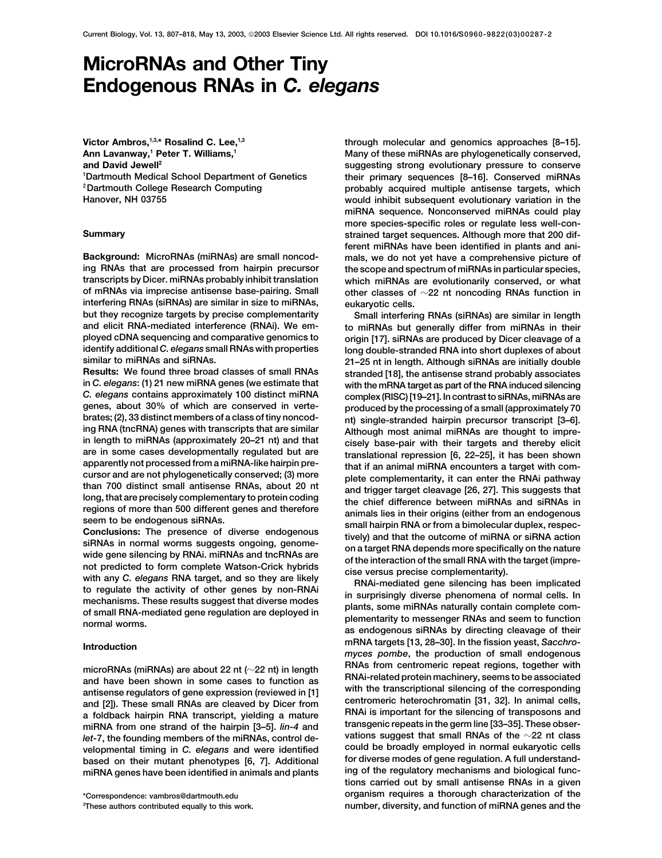# **MicroRNAs and Other Tiny Endogenous RNAs in** *C. elegans*

**Victor Ambros,1,3,\* Rosalind C. Lee,1,3 Ann Lavanway,1 Peter T. Williams,1 and David Jewell2** <sup>1</sup>Dartmouth Medical School Department of Genetics

**ing RNAs that are processed from hairpin precursor the scope and spectrum of miRNAs in particular species, interfering RNAs (siRNAs) are similar in size to miRNAs, eukaryotic cells. but they recognize targets by precise complementarity Small interfering RNAs (siRNAs) are similar in length and elicit RNA-mediated interference (RNAi). We em- to miRNAs but generally differ from miRNAs in their ployed cDNA sequencing and comparative genomics to origin [17]. siRNAs are produced by Dicer cleavage of a identify additional** *C. elegans* **small RNAs with properties long double-stranded RNA into short duplexes of about**

**Results: We found three broad classes of small RNAs stranded [18], the antisense strand probably associates in** *C. elegans***: (1) 21 new miRNA genes (we estimate that with the mRNA target as part of the RNA induced silencing** *C. elegans* **contains approximately 100 distinct miRNA complex (RISC) [19–21]. In contrast to siRNAs, miRNAs are genes, about 30% of which are conserved in verte- produced by the processing of a small (approximately 70 brates; (2), 33 distinct members of a class of tiny noncod- nt) single-stranded hairpin precursor transcript [3–6].** in length to miRNAs (approximately 20–21 nt) and that<br>in length to miRNAs (approximately 20–21 nt) and that<br>are in some cases developmentally regulated but are<br>apparently not processed from a miRNA-like hairpin pre-<br>cursor

regions of more than 500 different genes and therefore<br>seem to be endogenous siRNAs.<br>Conclusions: The presence of diverse endogenous<br>small hairpin RNA or from a bimolecular duplex, respec-<br>ively) and that the outcome of mi

antisense regulators of gene expression (reviewed in [1]<br>and [2]). These small RNAs are cleaved by Dicer from<br>a foldback hairpin RNA transcript, yielding a mature<br>miRNA from one strand of the bairpin [3–5] *lin-4* and<br>miRN **miRNA from one strand of the hairpin [3-5].** *lin-4* **and** *let-7*, the founding members of the miRNAs, control de-<br>velopmental timing in C, elegans and were identified could be broadly employed in normal eukaryotic cells velopmental timing in *C. elegans* and were identified **based on their mutant phenotypes [6, 7]. Additional for diverse modes of gene regulation. A full understand**miRNA genes have been identified in animals and plants

**through molecular and genomics approaches [8–15]. Many of these miRNAs are phylogenetically conserved, suggesting strong evolutionary pressure to conserve** their primary sequences [8–16]. Conserved miRNAs **2Dartmouth College Research Computing probably acquired multiple antisense targets, which Hanover, NH 03755 would inhibit subsequent evolutionary variation in the miRNA sequence. Nonconserved miRNAs could play more species-specific roles or regulate less well-con-Summary strained target sequences. Although more that 200 different miRNAs have been identified in plants and ani-Background: MicroRNAs (miRNAs) are small noncod- mals, we do not yet have a comprehensive picture of transcripts by Dicer. miRNAs probably inhibit translation which miRNAs are evolutionarily conserved, or what other classes of**  $\sim$ **22 nt noncoding RNAs function in** 

**similar to miRNAs and siRNAs. 21–25 nt in length. Although siRNAs are initially double**

**mRNA targets [13, 28–30]. In the fission yeast,** *Sacchro-* **Introduction** *myces pombe***, the production of small endogenous** microRNAs (miRNAs) are about 22 nt ( $\sim$ 22 nt) in length<br>and have been shown in some cases to function as<br>antisonse requisters of gaps expression (reviewed in [1] with the transcriptional silencing of the corresponding **tions carried out by small antisense RNAs in a given \*Correspondence: vambros@dartmouth.edu organism requires a thorough characterization of the number, diversity, and function of miRNA genes and the** 

<sup>&</sup>lt;sup>3</sup>These authors contributed equally to this work.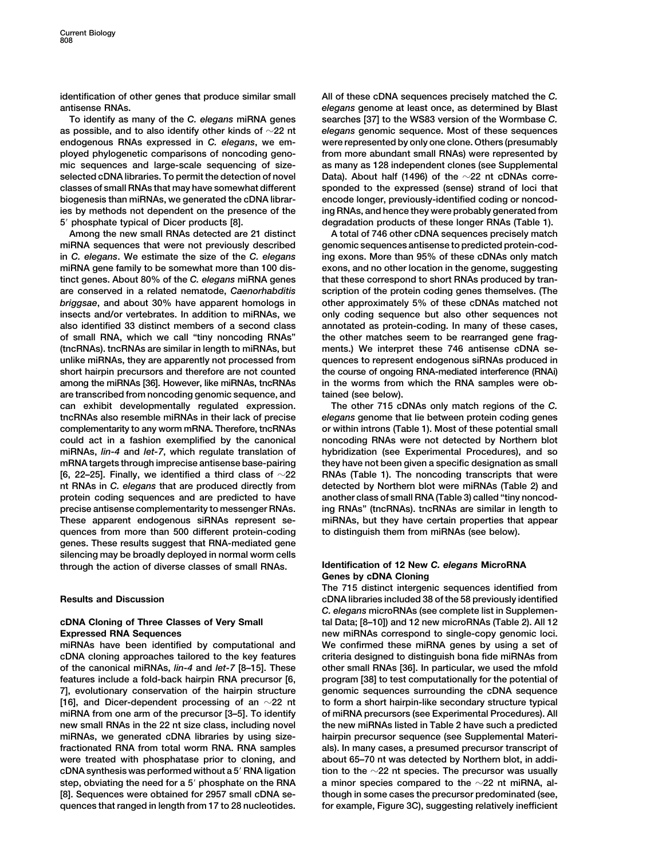**identification of other genes that produce similar small All of these cDNA sequences precisely matched the C.** 

**as possible, and to also identify other kinds of 22 nt** *elegans* **genomic sequence. Most of these sequences endogenous RNAs expressed in** *C. elegans***, we em- were represented by only one clone. Others (presumably ployed phylogenetic comparisons of noncoding geno- from more abundant small RNAs) were represented by mic sequences and large-scale sequencing of size- as many as 128 independent clones (see Supplemental selected cDNA libraries. To permit the detection of novel Data). About half (1496) of the 22 nt cDNAs correclasses of small RNAs that may have somewhat different sponded to the expressed (sense) strand of loci that biogenesis than miRNAs, we generated the cDNA librar- encode longer, previously-identified coding or noncodies by methods not dependent on the presence of the ing RNAs, and hence they were probably generated from 5 phosphate typical of Dicer products [8]. degradation products of these longer RNAs (Table 1).**

**miRNA sequences that were not previously described genomic sequences antisense to predicted protein-codin** *C. elegans***. We estimate the size of the** *C. elegans* **ing exons. More than 95% of these cDNAs only match miRNA gene family to be somewhat more than 100 dis- exons, and no other location in the genome, suggesting tinct genes. About 80% of the** *C. elegans* **miRNA genes that these correspond to short RNAs produced by tranare conserved in a related nematode,** *Caenorhabditis* **scription of the protein coding genes themselves. (The** *briggsae***, and about 30% have apparent homologs in other approximately 5% of these cDNAs matched not insects and/or vertebrates. In addition to miRNAs, we only coding sequence but also other sequences not also identified 33 distinct members of a second class annotated as protein-coding. In many of these cases, of small RNA, which we call "tiny noncoding RNAs" the other matches seem to be rearranged gene frag- (tncRNAs). tncRNAs are similar in length to miRNAs, but ments.) We interpret these 746 antisense cDNA seunlike miRNAs, they are apparently not processed from quences to represent endogenous siRNAs produced in short hairpin precursors and therefore are not counted the course of ongoing RNA-mediated interference (RNAi) among the miRNAs [36]. However, like miRNAs, tncRNAs in the worms from which the RNA samples were obare transcribed from noncoding genomic sequence, and tained (see below). can exhibit developmentally regulated expression. The other 715 cDNAs only match regions of the** *C.* **tncRNAs also resemble miRNAs in their lack of precise** *elegans* **genome that lie between protein coding genes complementarity to any worm mRNA. Therefore, tncRNAs or within introns (Table 1). Most of these potential small could act in a fashion exemplified by the canonical noncoding RNAs were not detected by Northern blot miRNAs,** *lin-4* **and** *let-7***, which regulate translation of hybridization (see Experimental Procedures), and so mRNA targets through imprecise antisense base-pairing they have not been given a specific designation as small [6, 22–25]. Finally, we identified a third class of 22 RNAs (Table 1). The noncoding transcripts that were nt RNAs in** *C. elegans* **that are produced directly from detected by Northern blot were miRNAs (Table 2) and protein coding sequences and are predicted to have another class of small RNA (Table 3) called "tiny noncodprecise antisense complementarity to messenger RNAs. ing RNAs" (tncRNAs). tncRNAs are similar in length to These apparent endogenous siRNAs represent se- miRNAs, but they have certain properties that appear quences from more than 500 different protein-coding to distinguish them from miRNAs (see below). genes. These results suggest that RNA-mediated gene silencing may be broadly deployed in normal worm cells through the action of diverse classes of small RNAs. Identification of 12 New** *C. elegans* **MicroRNA**

**miRNAs have been identified by computational and We confirmed these miRNA genes by using a set of cDNA cloning approaches tailored to the key features criteria designed to distinguish bona fide miRNAs from of the canonical miRNAs,** *lin-4* **and** *let-7* **[8–15]. These other small RNAs [36]. In particular, we used the mfold features include a fold-back hairpin RNA precursor [6, program [38] to test computationally for the potential of 7], evolutionary conservation of the hairpin structure genomic sequences surrounding the cDNA sequence [16], and Dicer-dependent processing of an 22 nt to form a short hairpin-like secondary structure typical miRNA from one arm of the precursor [3–5]. To identify of miRNA precursors (see Experimental Procedures). All new small RNAs in the 22 nt size class, including novel the new miRNAs listed in Table 2 have such a predicted miRNAs, we generated cDNA libraries by using size- hairpin precursor sequence (see Supplemental Materifractionated RNA from total worm RNA. RNA samples als). In many cases, a presumed precursor transcript of were treated with phosphatase prior to cloning, and about 65–70 nt was detected by Northern blot, in addicDNA synthesis was performed without a 5 RNA ligation tion to the 22 nt species. The precursor was usually step, obviating the need for a 5 phosphate on the RNA a minor species compared to the 22 nt miRNA, al- [8]. Sequences were obtained for 2957 small cDNA se- though in some cases the precursor predominated (see, quences that ranged in length from 17 to 28 nucleotides. for example, Figure 3C), suggesting relatively inefficient**

**antisense RNAs.** *elegans* **genome at least once, as determined by Blast To identify as many of the** *C. elegans* **miRNA genes searches [37] to the WS83 version of the Wormbase** *C.*

**Among the new small RNAs detected are 21 distinct A total of 746 other cDNA sequences precisely match**

# **Genes by cDNA Cloning**

**The 715 distinct intergenic sequences identified from Results and Discussion cDNA libraries included 38 of the 58 previously identified** *C. elegans* **microRNAs (see complete list in SupplemencDNA Cloning of Three Classes of Very Small tal Data; [8–10]) and 12 new microRNAs (Table 2). All 12 Expressed RNA Sequences new miRNAs correspond to single-copy genomic loci.**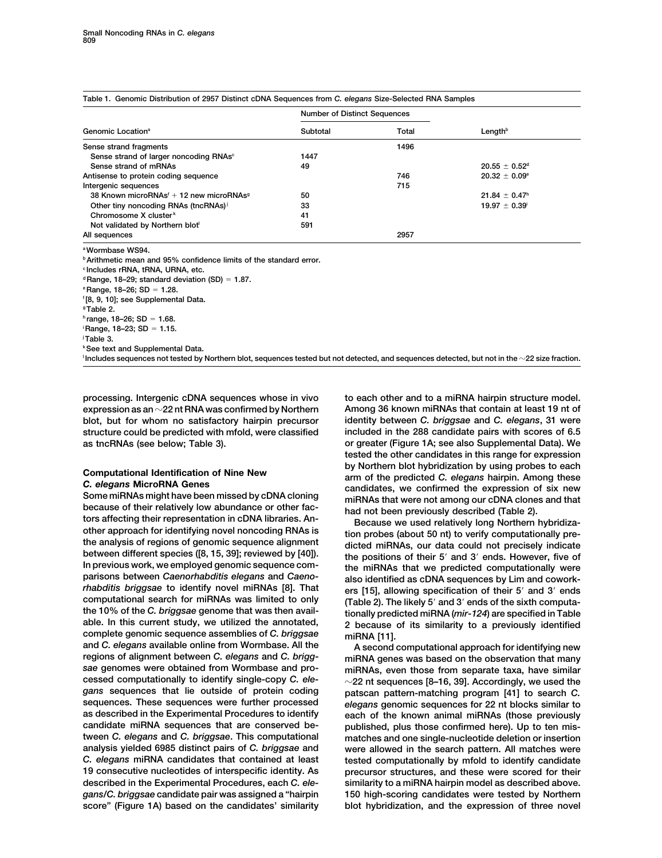|                                                                                           | <b>Number of Distinct Sequences</b> |       |                               |  |
|-------------------------------------------------------------------------------------------|-------------------------------------|-------|-------------------------------|--|
| Genomic Location <sup>a</sup>                                                             | Subtotal                            | Total | Length <sup>b</sup>           |  |
| Sense strand fragments                                                                    |                                     | 1496  |                               |  |
| Sense strand of larger noncoding RNAs <sup>c</sup>                                        | 1447                                |       |                               |  |
| Sense strand of mRNAs                                                                     | 49                                  |       | $20.55 \pm 0.52$ <sup>d</sup> |  |
| Antisense to protein coding sequence                                                      |                                     | 746   | $20.32 \pm 0.09^{\circ}$      |  |
| Intergenic sequences                                                                      |                                     | 715   |                               |  |
| 38 Known microRNAs <sup><math>f</math></sup> + 12 new microRNAs <sup><math>g</math></sup> | 50                                  |       | $21.84 \pm 0.47$ <sup>h</sup> |  |
| Other tiny noncoding RNAs (tncRNAs) <sup>j</sup>                                          | 33                                  |       | $19.97 \pm 0.39^{\circ}$      |  |
| Chromosome X cluster <sup>k</sup>                                                         | 41                                  |       |                               |  |
| Not validated by Northern blot'                                                           | 591                                 |       |                               |  |
| All sequences                                                                             |                                     | 2957  |                               |  |
| <sup>a</sup> Wormbase WS94.                                                               |                                     |       |                               |  |
| <b>Parithmetic mean and 95% confidence limits of the standard error.</b>                  |                                     |       |                               |  |
| <sup>c</sup> Includes rRNA, tRNA, URNA, etc.                                              |                                     |       |                               |  |
| $\textdegree$ Range, 18–29; standard deviation (SD) = 1.87.                               |                                     |       |                               |  |

## **Table 1. Genomic Distribution of 2957 Distinct cDNA Sequences from** *C. elegans* **Size-Selected RNA Samples**

**<sup>e</sup> Range, 18–26; SD 1.28. f [8, 9, 10]; see Supplemental Data. <sup>g</sup> Table 2. <sup>h</sup> range, 18–26; SD 1.68. i Range, 18–23; SD 1.15. j Table 3. kSee text and Supplemental Data. l Includes sequences not tested by Northern blot, sequences tested but not detected, and sequences detected, but not in the 22 size fraction.**

**processing. Intergenic cDNA sequences whose in vivo to each other and to a miRNA hairpin structure model. expression as an 22 nt RNA was confirmed by Northern Among 36 known miRNAs that contain at least 19 nt of blot, but for whom no satisfactory hairpin precursor identity between** *C. briggsae* **and** *C. elegans***, 31 were structure could be predicted with mfold, were classified included in the 288 candidate pairs with scores of 6.5 as tncRNAs (see below; Table 3). or greater (Figure 1A; see also Supplemental Data). We**

C. elegans MicroRNA Genes<br>
C. elegans MicroRNA Genes<br>
Some miRNAs might have been missed by cDNA cloning<br>
Some miRNAs might have been missed by cDNA cloning<br>
because of their relatively low abundance or other fac-<br>
tors af **computational search for miRNAs was limited to only (Table 2). The likely 5 and 3 ends of the sixth computathe 10% of the** *C. briggsae* **genome that was then avail- tionally predicted miRNA (***mir-124***) are specified in Table complete genomic sequence assemblies of** *C. briggsae* **miRNA [11].<br>and** *C. elegans* **available online from Wormbase. All the <b>A** second. **and** *C. elegans* **available online from Wormbase. All the A second computational approach for identifying new regions of alignment between** *C. elegans* **and** *C. brigg-* **miRNA genes was based on the observation that many cessed computationally to identify single-copy** *C. ele-* **22 nt sequences [8–16, 39]. Accordingly, we used the** *gans* **sequences that lie outside of protein coding patscan pattern-matching program [41] to search** *C.* **as described in the Experimental Procedures to identify each of the known animal miRNAs (those previously tween** *C. elegans* **and** *C. briggsae***. This computational matches and one single-nucleotide deletion or insertion analysis yielded 6985 distinct pairs of** *C. briggsae* **and were allowed in the search pattern. All matches were** *C. elegans* **miRNA candidates that contained at least tested computationally by mfold to identify candidate 19 consecutive nucleotides of interspecific identity. As precursor structures, and these were scored for their described in the Experimental Procedures, each** *C. ele-* **similarity to a miRNA hairpin model as described above.** *gans***/***C. briggsae* **candidate pair was assigned a "hairpin 150 high-scoring candidates were tested by Northern score" (Figure 1A) based on the candidates' similarity blot hybridization, and the expression of three novel**

**tested the other candidates in this range for expression**

**able. In this current study, we utilized the annotated, 2 because of its similarity to a previously identified**

*miRNAs, even those from separate taxa, have similar* **sequences. These sequences were further processed** *elegans* **genomic sequences for 22 nt blocks similar to** published, plus those confirmed here). Up to ten mis-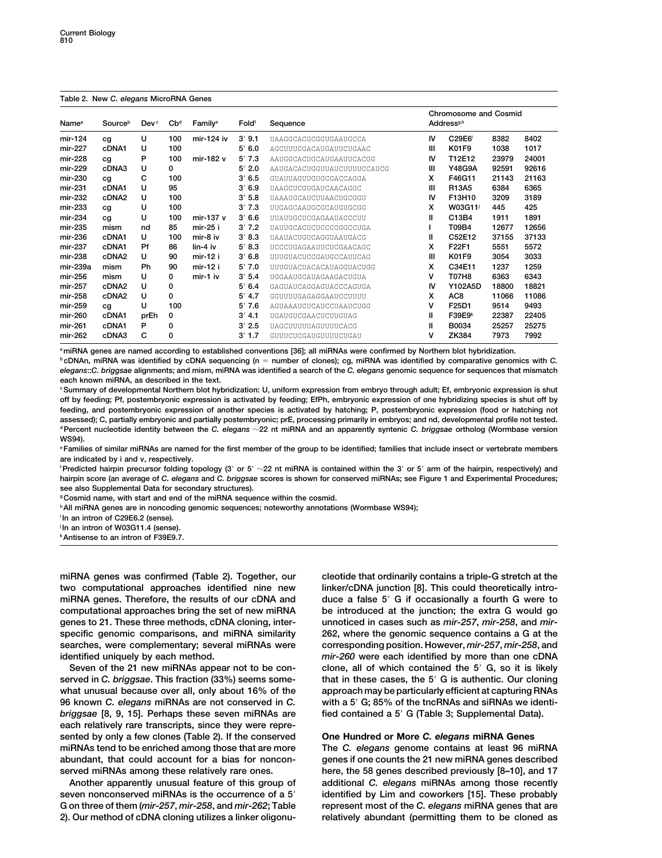## Table 2. New C. elegans MicroRNA Genes

| Name <sup>a</sup> | Source <sup>b</sup> | Dev <sup>c</sup> | Cb <sup>d</sup> | Family <sup>e</sup> | Fold <sup>f</sup> | Sequence                      |    | Chromosome and Cosmid<br>Address <sup>g,h</sup> |       |       |
|-------------------|---------------------|------------------|-----------------|---------------------|-------------------|-------------------------------|----|-------------------------------------------------|-------|-------|
| mir-124           | cg                  | υ                | 100             | mir-124 iv          | 3' 9.1            | UAAGGCACGCGGUGAAUGCCA         | IV | C29E6                                           | 8382  | 8402  |
| mir-227           | cDNA1               | U                | 100             |                     | 5' 6.0            | AGCUUUCGACAUGAUUCUGAAC        | Ш  | K01F9                                           | 1038  | 1017  |
| mir-228           | cg                  | P                | 100             | mir-182 v           | 5'7.3             | AAUGGCACUGCAUGAAUUCACGG       | IV | T12E12                                          | 23979 | 24001 |
| mir-229           | cDNA3               | U                | 0               |                     | 5'<br>2.0         | AAUGACACUGGUUAUCUUUUCCAUCG    | Ш  | Y48G9A                                          | 92591 | 92616 |
| mir-230           | cg                  | с                | 100             |                     | 3' 6.5            | GUAUUAGUUGUGCGACCAGGA         | x  | F46G11                                          | 21143 | 21163 |
| mir-231           | cDNA1               | U                | 95              |                     | 3' 6.9            | <b>UAAGCUCGUGAUCAACAGGC</b>   | Ш  | R13A5                                           | 6384  | 6365  |
| mir-232           | cDNA2               | U                | 100             |                     | 3' 5.8            | UAAAUGCAUCUUAACUGCGGU         | IV | F13H10                                          | 3209  | 3189  |
| mir-233           | cq                  | U                | 100             |                     | 3'7.3             | <b>UUGAGCAAUGCGCAUGUGCGG</b>  | x  | W03G11                                          | 445   | 425   |
| mir-234           | cq                  | U                | 100             | mir-137 v           | 3' 6.6            | <b>UUAUUGCUCGAGAAUACCCUU</b>  | Ш  | C13B4                                           | 1911  | 1891  |
| mir-235           | mism                | nd               | 85              | mir-25 i            | 3'7.2             | <b>UAUUGCACUCUCCCCGGCCUGA</b> |    | T09B4                                           | 12677 | 12656 |
| mir-236           | cDNA1               | U                | 100             | mir-8 iv            | 3' 8.3            | <b>UAAUACUGUCAGGUAAUGACG</b>  | Ш  | C52E12                                          | 37155 | 37133 |
| mir-237           | cDNA1               | Pf               | 86              | lin-4 iv            | 5' 8.3            | UCCCUGAGAAUUCUCGAACAGC        | x  | F22F1                                           | 5551  | 5572  |
| mir-238           | cDNA2               | U                | 90              | mir-12 i            | 3' 6.8            | UUUGUACUCCGAUGCCAUUCAG        | Ш  | K01F9                                           | 3054  | 3033  |
| mir-239a          | mism                | Ph               | 90              | mir-12 i            | 5'7.0             | UUUGUACUACACAUAGGUACUGG       | x  | C34E11                                          | 1237  | 1259  |
| mir-256           | mism                | U                | 0               | mir-1 iv            | 3' 5.4            | <b>UGGAAUGCAUAGAAGACUGUA</b>  | v  | <b>T07H8</b>                                    | 6363  | 6343  |
| mir-257           | cDNA <sub>2</sub>   | U                | 0               |                     | 5' 6.4            | GAGUAUCAGGAGUACCCAGUGA        | IV | Y102A5D                                         | 18800 | 18821 |
| mir-258           | cDNA2               | U                | 0               |                     | 5'<br>4.7         | GGUUUUGAGAGGAAUCCUUUU         | x  | AC <sub>8</sub>                                 | 11066 | 11086 |
| mir-259           | cq                  | U                | 100             |                     | 5'<br>7.6         | AGUAAAUCUCAUCCUAAUCUGG        | v  | F25D1                                           | 9514  | 9493  |
| mir-260           | cDNA1               | prEh             | 0               |                     | 3' 4.1            | UGAUGUCGAACUCUUGUAG           | Ш  | F39E9 <sup>k</sup>                              | 22387 | 22405 |
| mir-261           | cDNA1               | P                | 0               |                     | 3' 2.5            | UAGCUUUUUAGUUUUCACG           | Ш  | B0034                                           | 25257 | 25275 |
| mir-262           | cDNA3               | С                | 0               |                     | 3'<br>1.7         | GUUUCUCGAUGUUUUCUGAU          | v  | ZK384                                           | 7973  | 7992  |

a miRNA genes are named according to established conventions [36]; all miRNAs were confirmed by Northern blot hybridization.

 $b$  cDNAn, miRNA was identified by cDNA sequencing ( $n =$  number of clones); cg, miRNA was identified by comparative genomics with C. elegans::C. briggsae alignments; and mism, miRNA was identified a search of the C. elegans genomic sequence for sequences that mismatch each known miRNA, as described in the text.

°Summary of developmental Northern blot hybridization: U, uniform expression from embryo through adult; Ef, embryonic expression is shut off by feeding; Pf, postembryonic expression is activated by feeding; EfPh, embryonic expression of one hybridizing species is shut off by feeding, and postembryonic expression of another species is activated by hatching; P, postembryonic expression (food or hatching not assessed); C, partially embryonic and partially postembryonic; prE, processing primarily in embryos; and nd, developmental profile not tested. <sup>d</sup> Percent nucleotide identity between the C. elegans ~22 nt miRNA and an apparently syntenic C. briggsae ortholog (Wormbase version WS94).

<sup>e</sup> Families of similar miRNAs are named for the first member of the group to be identified; families that include insect or vertebrate members are indicated by i and v, respectively.

'Predicted hairpin precursor folding topology (3' or 5'  $\sim$ 22 nt miRNA is contained within the 3' or 5' arm of the hairpin, respectively) and hairpin score (an average of C. elegans and C. briggsae scores is shown for conserved miRNAs; see Figure 1 and Experimental Procedures; see also Supplemental Data for secondary structures).

<sup>9</sup> Cosmid name, with start and end of the miRNA sequence within the cosmid.

h All miRNA genes are in noncoding genomic sequences; noteworthy annotations (Wormbase WS94);

<sup>i</sup> In an intron of C29E6.2 (sense).

In an intron of W03G11.4 (sense).

\*Antisense to an intron of F39E9.7.

miRNA genes was confirmed (Table 2). Together, our two computational approaches identified nine new miRNA genes. Therefore, the results of our cDNA and computational approaches bring the set of new miRNA genes to 21. These three methods, cDNA cloning, interspecific genomic comparisons, and miRNA similarity searches, were complementary; several miRNAs were identified uniquely by each method.

Seven of the 21 new miRNAs appear not to be conserved in C. briggsae. This fraction (33%) seems somewhat unusual because over all, only about 16% of the 96 known C. elegans miRNAs are not conserved in C. briggsae [8, 9, 15]. Perhaps these seven miRNAs are each relatively rare transcripts, since they were represented by only a few clones (Table 2). If the conserved miRNAs tend to be enriched among those that are more abundant, that could account for a bias for nonconserved miRNAs among these relatively rare ones.

Another apparently unusual feature of this group of seven nonconserved miRNAs is the occurrence of a 5' G on three of them (mir-257, mir-258, and mir-262; Table 2). Our method of cDNA cloning utilizes a linker oligonucleotide that ordinarily contains a triple-G stretch at the linker/cDNA junction [8]. This could theoretically introduce a false 5' G if occasionally a fourth G were to be introduced at the junction; the extra G would go unnoticed in cases such as mir-257, mir-258, and mir-262, where the genomic sequence contains a G at the corresponding position. However, mir-257, mir-258, and mir-260 were each identified by more than one cDNA clone, all of which contained the 5' G, so it is likely that in these cases, the 5' G is authentic. Our cloning approach may be particularly efficient at capturing RNAs with a 5' G; 85% of the tncRNAs and siRNAs we identified contained a 5' G (Table 3; Supplemental Data).

# One Hundred or More C. elegans miRNA Genes

The C. elegans genome contains at least 96 miRNA genes if one counts the 21 new miRNA genes described here, the 58 genes described previously [8-10], and 17 additional C. elegans miRNAs among those recently identified by Lim and coworkers [15]. These probably represent most of the C. elegans miRNA genes that are relatively abundant (permitting them to be cloned as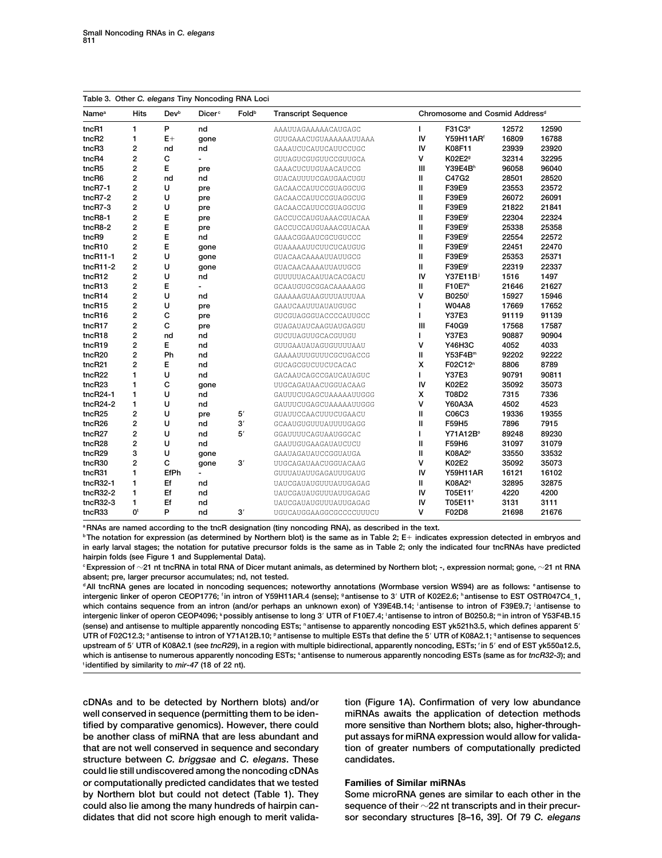| Table 3. Other C. elegans Tiny Noncoding RNA Loci |                                     |                  |                                                                       |               |                         |                    |                                            |       |       |  |
|---------------------------------------------------|-------------------------------------|------------------|-----------------------------------------------------------------------|---------------|-------------------------|--------------------|--------------------------------------------|-------|-------|--|
| Name <sup>a</sup>                                 | <b>Hits</b>                         | Dev <sup>b</sup> | Dicer <sup>c</sup><br>Fold <sup>b</sup><br><b>Transcript Sequence</b> |               |                         |                    | Chromosome and Cosmid Address <sup>d</sup> |       |       |  |
| tncR1                                             | P<br>1<br>nd<br>AAAUUAGAAAAACAUGAGC |                  |                                                                       |               | L                       | F31C3 <sup>e</sup> | 12572                                      | 12590 |       |  |
| tncR <sub>2</sub>                                 | 1                                   | $E+$             | gone                                                                  |               | GUUGAAACUGUAAAAAAUUAAA  | IV                 | Y59H11ARf                                  | 16809 | 16788 |  |
| tncR3                                             | $\overline{2}$                      | nd               | nd                                                                    |               | GAAAUCUCAUUCAUUCCUGC    | IV                 | K08F11                                     | 23939 | 23920 |  |
| tncR4                                             | $\overline{\mathbf{c}}$             | $\mathbf C$      | $\overline{\phantom{0}}$                                              |               | GUUAGUCGUGUUCCGUUGCA    | $\mathsf{v}$       | K02E2 <sup>9</sup>                         | 32314 | 32295 |  |
| tncR5                                             | $\overline{\mathbf{c}}$             | Е                | pre                                                                   |               | GAAACUCUUGUAACAUCCG     | Ш                  | Y39E4B <sup>h</sup>                        | 96058 | 96040 |  |
| tncR6                                             | $\overline{2}$                      | nd               | nd                                                                    |               | GUACAUUUUCGAUGAACUGU    | $\mathbf{H}$       | C47G2                                      | 28501 | 28520 |  |
| tncR7-1                                           | $\overline{2}$                      | U                | pre                                                                   |               | GACAACCAUUCCGUAGGCUG    | Ш                  | F39E9                                      | 23553 | 23572 |  |
| $tncR7-2$                                         | $\overline{2}$                      | U                | pre                                                                   |               | GACAACCAUUCCGUAGGCUG    | Ш                  | F39E9                                      | 26072 | 26091 |  |
| tncR7-3                                           | $\overline{2}$                      | U                | pre                                                                   |               | GACAACCAUUCCGUAGGCUG    | Ш                  | F39E9                                      | 21822 | 21841 |  |
| tncR8-1                                           | $\overline{2}$                      | Е                | pre                                                                   |               | GACCUCCAUGUAAACGUACAA   | Ш                  | F39E9                                      | 22304 | 22324 |  |
| tncR8-2                                           | $\overline{c}$                      | Е                | pre                                                                   |               | GACCUCCAUGUAAACGUACAA   | Ш                  | F39E9                                      | 25338 | 25358 |  |
| tncR9                                             | $\overline{2}$                      | Е                | nd                                                                    |               | GAAACGGAAUCGCUGUCCC     | Ш                  | F39E9                                      | 22554 | 22572 |  |
| tncR10                                            | $\overline{2}$                      | E                | gone                                                                  |               | GUAAAAAUUCUUCUCAUGUG    | Ш                  | F39E9                                      | 22451 | 22470 |  |
| $trcR11-1$                                        | $\overline{2}$                      | U                | gone                                                                  |               | GUACAACAAAAUUAUUGCG     | Ш                  | F39E9                                      | 25353 | 25371 |  |
| $tncR11-2$                                        | $\overline{2}$                      | U                | gone                                                                  |               | GUACAACAAAAUUAUUGCG     | $\mathbf{H}$       | F39E9                                      | 22319 | 22337 |  |
| tncR12                                            | 2                                   | U                | nd                                                                    |               | GUUUUUACAAUUACACGACU    | IV                 | Y37E11B                                    | 1516  | 1497  |  |
| tncR13                                            | $\overline{2}$                      | E                | $\blacksquare$                                                        |               | GCAAUGUGCGGACAAAAAGG    | Ш                  | F10E7 <sup>k</sup>                         | 21646 | 21627 |  |
| tncR14                                            | $\overline{2}$                      | U                | nd                                                                    |               | GAAAAAGUAAGUUUAUUUAA    | ٧                  | B0250                                      | 15927 | 15946 |  |
| tncR15                                            | 2                                   | U                | pre                                                                   |               | GAAUCAAUUUAUAUGUGC      | ı                  | <b>W04A8</b>                               | 17669 | 17652 |  |
| tncR16                                            | $\overline{2}$                      | с                | pre                                                                   |               | GUCGUAGGGUACCCCAUUGCC   | ı                  | Y37E3                                      | 91119 | 91139 |  |
| tncR17                                            | $\overline{2}$                      | $\mathbf C$      | pre                                                                   |               | GUAGAUAUCAAGUAUGAGGU    | Ш                  | F40G9                                      | 17568 | 17587 |  |
| tncR18                                            | $\overline{c}$                      | nd               | nd                                                                    |               | GUCUUAGUUGCACGUUGU      | L                  | <b>Y37E3</b>                               | 90887 | 90904 |  |
| tncR19                                            | $\overline{2}$                      | Е                | nd                                                                    |               | GUUGAAUAUAGUGUUUUAAU    | $\mathsf{v}$       | <b>Y46H3C</b>                              | 4052  | 4033  |  |
| tncR20                                            | $\overline{2}$                      | Ph               | nd                                                                    |               | GAAAAUUUGUUUCGCUGACCG   | Ш                  | Y53F4B <sup>m</sup>                        | 92202 | 92222 |  |
| tncR21                                            | $\overline{2}$                      | Е                | nd                                                                    |               | GUCAGCGUCUUCUCACAC      | X                  | F02C12 <sup>n</sup>                        | 8806  | 8789  |  |
| tncR22                                            | 1                                   | U                | nd                                                                    |               | GACAAUCAGCCGAUCAUAGUC   | $\mathbf{I}$       | <b>Y37E3</b>                               | 90791 | 90811 |  |
| tncR23                                            | 1                                   | с                | gone                                                                  |               | UUGCAGAUAACUGGUACAAG    | IV                 | K02E2                                      | 35092 | 35073 |  |
| $trcR24-1$                                        | 1                                   | U                | nd                                                                    |               | GAUUUCUGAGCUAAAAAUUGGG  | X                  | <b>T08D2</b>                               | 7315  | 7336  |  |
| $trcR24-2$                                        | $\mathbf{1}$                        | U                | nd                                                                    |               | GAUUUCUGAGCUAAAAAUUGGG  | v                  | <b>Y60A3A</b>                              | 4502  | 4523  |  |
| tncR25                                            | $\overline{\mathbf{c}}$             | U                | pre                                                                   | 5'            | GUAUUCCAACUUUCUGAACU    | Ш                  | C06C3                                      | 19336 | 19355 |  |
| tncR26                                            | $\overline{\mathbf{c}}$             | U                | nd                                                                    | 3'            | GCAAUGUGUUUAUUUUGAGG    | Ш                  | F59H5                                      | 7896  | 7915  |  |
| tncR27                                            | $\overline{2}$                      | U                | nd                                                                    | 5'            | GGAUUUUCAGUAAUGGCAC     | I                  | Y71A12B°                                   | 89248 | 89230 |  |
| tncR28                                            | $\overline{2}$                      | U                | nd                                                                    |               | GAAUUGUGAAGAUAUCUCU     | Ш                  | F59H6                                      | 31097 | 31079 |  |
| tncR29                                            | 3                                   | U                | gone                                                                  |               | GAAUAGAUAUCCGGUAUGA     | Ш                  | <b>K08A2</b> <sup>p</sup>                  | 33550 | 33532 |  |
| tncR30                                            | $\overline{2}$                      | $\mathbf C$      | gone                                                                  | $\mathbf{3}'$ | UUGCAGAUAACUGGUACAAG    | v                  | K02E2                                      | 35092 | 35073 |  |
| tncR31                                            | 1                                   | EfPh             | ÷                                                                     |               | GUUUAUAUUGAGAUUUGAUG    | IV                 | <b>Y59H11AR</b>                            | 16121 | 16102 |  |
| $tr_{CR32-1}$                                     | 1                                   | Ef               | nd                                                                    |               | UAUCGAUAUGUUUAUUGAGAG   | $\mathbf{H}$       | K08A2 <sup>q</sup>                         | 32895 | 32875 |  |
| $tr_{CR32-2}$                                     | 1                                   | Ef               | nd                                                                    |               | UAUCGAUAUGUUUAUUGAGAG   | IV                 | T05E11'                                    | 4220  | 4200  |  |
| $tr_{CR32-3}$                                     | 1                                   | Ef               | nd                                                                    |               | UAUCGAUAUGUUUAUUGAGAG   | IV                 | T05E11 <sup>s</sup>                        | 3131  | 3111  |  |
| tncR33                                            | 0 <sup>t</sup>                      | P                | nd                                                                    | 3'            | UGUCAUGGAAGGCGCCCCUUUCU | v                  | F02D8                                      | 21698 | 21676 |  |

a RNAs are named according to the tncR designation (tiny noncoding RNA), as described in the text.

<sup>b</sup>The notation for expression (as determined by Northern blot) is the same as in Table 2; E+ indicates expression detected in embryos and in early larval stages; the notation for putative precursor folds is the same as in Table 2; only the indicated four tncRNAs have predicted hairpin folds (see Figure 1 and Supplemental Data).

° Expression of ~21 nt tncRNA in total RNA of Dicer mutant animals, as determined by Northern blot; -, expression normal; gone, ~21 nt RNA absent; pre, larger precursor accumulates; nd, not tested.

<sup>d</sup>All tncRNA genes are located in noncoding sequences; noteworthy annotations (Wormbase version WS94) are as follows: <sup>e</sup>antisense to intergenic linker of operon CEOP1776; 'in intron of Y59H11AR.4 (sense); <sup>9</sup>antisense to 3' UTR of K02E2.6; <sup>h</sup>antisense to EST OSTR047C4\_1, which contains sequence from an intron (and/or perhaps an unknown exon) of Y39E4B.14; antisense to intron of F39E9.7; antisense to intergenic linker of operon CEOP4096; kpossibly antisense to long 3' UTR of F10E7.4; lantisense to intron of B0250.8; "in intron of Y53F4B.15 (sense) and antisense to multiple apparently noncoding ESTs; "antisense to apparently noncoding EST yk521h3.5, which defines apparent 5' UTR of F02C12.3; ° antisense to intron of Y71A12B.10; ° antisense to multiple ESTs that define the 5' UTR of K08A2.1; ° antisense to sequences upstream of 5' UTR of K08A2.1 (see tncR29), in a region with multiple bidirectional, apparently noncoding, ESTs; 'in 5' end of EST yk550a12.5, which is antisense to numerous apparently noncoding ESTs; <sup>s</sup>antisense to numerous apparently noncoding ESTs (same as for tncR32-3); and tidentified by similarity to mir-47 (18 of 22 nt).

cDNAs and to be detected by Northern blots) and/or well conserved in sequence (permitting them to be identified by comparative genomics). However, there could be another class of miRNA that are less abundant and that are not well conserved in sequence and secondary structure between C. briggsae and C. elegans. These could lie still undiscovered among the noncoding cDNAs or computationally predicted candidates that we tested by Northern blot but could not detect (Table 1). They could also lie among the many hundreds of hairpin candidates that did not score high enough to merit validation (Figure 1A). Confirmation of very low abundance miRNAs awaits the application of detection methods more sensitive than Northern blots; also, higher-throughput assays for miRNA expression would allow for validation of greater numbers of computationally predicted candidates.

# **Families of Similar miRNAs**

Some microRNA genes are similar to each other in the sequence of their  $\sim$ 22 nt transcripts and in their precursor secondary structures [8-16, 39]. Of 79 C. elegans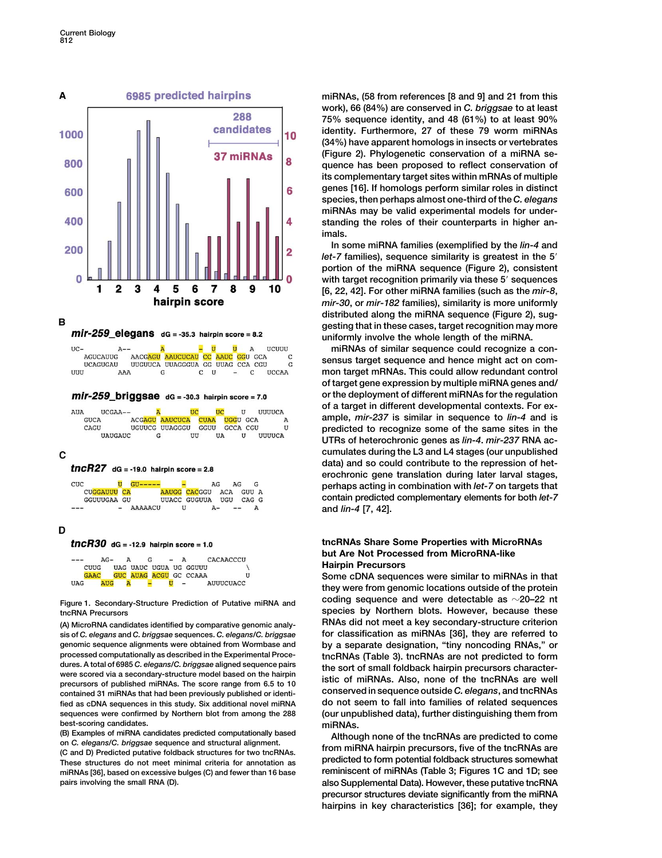

## в



 $\overline{\mathbf{U}}$  $\overline{\mathbf{U}}$ UC- $\, {\bf A}$ ucuuu AACGAGU AAUCUCAU CC AAUC GGU GCA<br>UUGUUCA UUAGGGUA GG UUAG CCA CGU  ${\bf AGUCAUUG}$  $\mathsf{C}$ **UCAGUGAU** G UUU AAA  $\mathsf{G}$  $\mathsf{C}$  $\mathbf{U}$  $\mathsf{C}$ UCCAA

## mir-259\_briggsae dG = -30.3 hairpin score = 7.0

UC UC A  $\mathbf{U}$ **UUUUCA** AUA UCGAA-**GUCA** A CAGU U **UAUGAUC**  ${\tt U}{\tt U}$  $_{\rm UA}$ **UUUUCA**  $\mathsf{G}$  ${\bf U}$ 

## C

 $tncR27$  dG = -19.0 hairpin score = 2.8



## D

 $tncR30$  dG = -12.9 hairpin score = 1.0



**tncRNA Precursors species by Northern blots. However, because these**

**sis of** *C. elegans* **and** *C. briggsae* **sequences.** *C. elegans***/***C. briggsae* **for classification as miRNAs [36], they are referred to genomic sequence alignments were obtained from Wormbase and by a separate designation, "tiny noncoding RNAs," or processed computationally as described in the Experimental Proce- tncRNAs (Table 3). tncRNAs are not predicted to form** dures. A total of boost C. elegalistic. Driggsale aligned sequence pairs<br>were scored via a secondary-structure model based on the hairpin<br>precursors of published miRNAs. The score range from 6.5 to 10 istic of miRNAs. Also **contained 31 miRNAs that had been previously published or identi- conserved in sequence outside** *C. elegans***, and tncRNAs fied as cDNA sequences in this study. Six additional novel miRNA do not seem to fall into families of related sequences sequences were confirmed by Northern blot from among the 288 (our unpublished data), further distinguishing them from best-scoring candidates. https://wikipediters. miRNAs. https://wikipediters. https://gimer.org/miRNAs. https://gimer.org/miRNAs. https://gimer.org/miRNAs. https://gimer.org/miRNAs. https://gimer.org/mind.o** 

miRNAs [36], based on excessive bulges (C) and fewer than 16 base **pairs involving the small RNA (D). also Supplemental Data). However, these putative tncRNA**

**miRNAs, (58 from references [8 and 9] and 21 from this work), 66 (84%) are conserved in** *C. briggsae* **to at least 75% sequence identity, and 48 (61%) to at least 90% identity. Furthermore, 27 of these 79 worm miRNAs (34%) have apparent homologs in insects or vertebrates (Figure 2). Phylogenetic conservation of a miRNA sequence has been proposed to reflect conservation of its complementary target sites within mRNAs of multiple genes [16]. If homologs perform similar roles in distinct species, then perhaps almost one-third of the** *C. elegans* **miRNAs may be valid experimental models for understanding the roles of their counterparts in higher animals.**

**In some miRNA families (exemplified by the** *lin-4* **and** *let-7* **families), sequence similarity is greatest in the 5 portion of the miRNA sequence (Figure 2), consistent with target recognition primarily via these 5 sequences [6, 22, 42]. For other miRNA families (such as the** *mir-8***,** *mir-30***, or** *mir-182* **families), similarity is more uniformly distributed along the miRNA sequence (Figure 2), suggesting that in these cases, target recognition may more uniformly involve the whole length of the miRNA.**

**miRNAs of similar sequence could recognize a consensus target sequence and hence might act on common target mRNAs. This could allow redundant control of target gene expression by multiple miRNA genes and/ or the deployment of different miRNAs for the regulation of a target in different developmental contexts. For example,** *mir-237* **is similar in sequence to** *lin-4* **and is predicted to recognize some of the same sites in the UTRs of heterochronic genes as** *lin-4***.** *mir-237* **RNA accumulates during the L3 and L4 stages (our unpublished data) and so could contribute to the repression of heterochronic gene translation during later larval stages, perhaps acting in combination with** *let-7* **on targets that contain predicted complementary elements for both** *let-7* **and** *lin-4* **[7, 42].**

# **tncRNAs Share Some Properties with MicroRNAs but Are Not Processed from MicroRNA-like Hairpin Precursors**

**Some cDNA sequences were similar to miRNAs in that they were from genomic locations outside of the protein coding sequence and were detectable as 20–22 nt Figure 1. Secondary-Structure Prediction of Putative miRNA and (A) MicroRNA candidates identified by comparative genomic analy- RNAs did not meet a key secondary-structure criterion**

(B) Examples of mikina candidates predicted computationally based<br>
on C. elegans/C. briggsae sequence and structural alignment.<br>
(C and D) Predicted putative foldback structures for two there.<br>
These structures do not meet **precursor structures deviate significantly from the miRNA hairpins in key characteristics [36]; for example, they**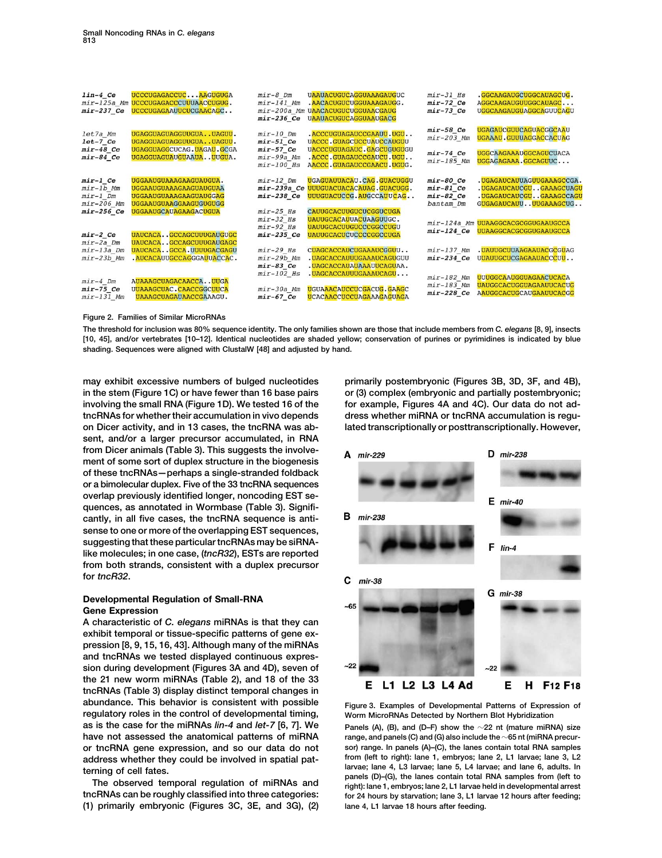| $lin-4$ $Ce$<br>mir-125a Mm<br>mir-237 Ce                       | UCCCUGAGACCUCAAGUGUGA<br>UCCCUGAGACCCUUUAACCUGUG.<br>UCCCUGAGAAUUCUCGAACAGC                                                          | $mix-8$ Dm<br>$mir-141$ Mm<br>mir-200a Mm<br>mir-236 Ce                 | <b>UAAUACUGUCAGGUAAAGAUGUC</b><br>. AACACUGUCUGGUAAAGAUGG.<br><b>UAACACUGUCUGGUAACGAUG</b><br><b>UAAUACUGUCAGGUAAUGACG</b>                     | $mix-31$ Hs<br>mir-72 Ce<br>$mir-73$ Ce                | . GGCAAGAUGCUGGCAUAGCUG.<br>AGGCAAGAUGUUGGCAUAGC<br><b>UGGCAAGAUGUAGGCAGUUCAGU</b>                              |
|-----------------------------------------------------------------|--------------------------------------------------------------------------------------------------------------------------------------|-------------------------------------------------------------------------|------------------------------------------------------------------------------------------------------------------------------------------------|--------------------------------------------------------|-----------------------------------------------------------------------------------------------------------------|
| let7a Mm<br>$let-7$ $Ce$<br>mir-48 Ce<br>mir-84 Ce              | UGAGGUAGUAGGUUGUAUAGUU.<br>UGAGGUAGUAGGUUGUAUAGUU.<br>UGAGGUAGGCUCAG. UAGAU. GCGA<br>UGAGGUAGUAUGUAAUAUUGUA.                         | $mir-10$ Dm<br>mir-51 Ce<br>$mir-57$ Ce<br>$mir-99a$ Mm<br>$mix-100$ Hs | . ACCCUGUAGAUCCGAAUU. UGU<br>UACCC.GUAGCUCCUAUCCAUGUU<br>UACCCUGUAGAUC. GAGCUGUGUGU<br>. ACCC. GUAGAUCCGAUCU. UGU<br>AACCC.GUAGAUCCGAACU.UGUG. | mir-58 Ce<br>$mix-203$ Mm<br>mir-74 Ce<br>$mir-185$ Mm | <b>UGAGAUCGUUCAGUACGGCAAU</b><br>UGAAAU.GUUUAGGACCACUAG<br><b>UGGCAAGAAAUGGCAGUCUACA</b><br>UGGAGAGAAA.GGCAGUUC |
| mir-1 Ce<br>mir-1b Mm<br>$mix-1$ Dm<br>mir-206 Mm<br>mir-256 Ce | UGGAAUGUAAAGAAGUAUGUA.<br>UGGAAUGUAAAGAAGUAUGUAA<br>UGGAAUGUAAAGAAGUAUGGAG<br><b>UGGAAUGUAAGGAAGUGUGUGG</b><br>UGGAAUGCAUAGAAGACUGUA | $mir-12$ Dm<br>$mir-239a$ Ce<br>$mir-238$ Ce<br>$mix-25$ Hs             | UGAGUAUUACAU.CAG.GUACUGGU<br>UUUGUACUACACAUAG.GUACUGG.<br>UUUGUACUCCG. AUGCCAUUCAG<br>CAUUGCACUUGUCUCGGUCUGA                                   | mir-80 Ce<br>mir-81 Ce<br>mir-82 Ce<br>bantam Dm       | .UGAGAUCAUUAGUUGAAAGCCGA.<br>.UGAGAUCAUCGUGAAAGCUAGU<br>. UGAGAUCAUCGU GAAAGCCAGU<br>GUGAGAUCAUUUUGAAAGCUG      |
| mir-2 Ce<br>mir-2a Dm                                           | UAUCACAGCCAGCUUUGAUGUGC<br><b>UAUCACAGCCAGCUUUGAUGAGC</b>                                                                            | $mir-32$ Hs<br>$mix-92$ Hs<br>$mir-235$ Ce                              | UAUUGCACAUUACUAAGUUGC.<br><b>UAUUGCACUUGUCCCGGCCUGU</b><br><b>UAUUGCACUCUCCCCCGCCCUGA</b>                                                      |                                                        | mir-124a Mm UUAAGGCACGCGGUGAAUGCCA<br>mir-124 Ce UUAAGGCACGCGGUGAAUGCCA                                         |
| mir-13a Dm<br>mir-23b Mm                                        | UAUCACAGCCA.UUUUGACGAGU<br>. AUCACAUUGCCAGGGAUUACCAC.                                                                                | $mir-29$ Hs<br>$mix-29b$ Mm<br>$mir-83$ Ce                              | CUAGCACCAUCUGAAAUCGGUU<br>.UAGCACCAUUUGAAAUCAGUGUU<br>. UAGCACCAUAUAAAUUCAGUAA.                                                                | $mir-137$ Mm<br>$mir-234$ Ce                           | .UAUUGCUUAAGAAUACGCGUAG<br>UUAUUGCUCGAGAAUACCCUU                                                                |
| $mir-4$ Dm<br>$mir-75$ Ce<br>$mir-131$ Mm                       | AUAAAGCUAGACAACCAUUGA<br>UUAAAGCUAC.CAACCGGCUUCA<br><b>UAAAGCUAGAUAACCGAAAGU.</b>                                                    | $mir-102$ Hs<br>$mir-30a$ Mm<br>$mir-67$ Ce                             | .UAGCACCAUUUGAAAUCAGU<br>UGUAAACAUCCUCGACUG, GAAGC<br>UCACAACCUCCUAGAAAGAGUAGA                                                                 | $mir-182$ Mm<br>$mix-183$ Mm<br>$mir-228$ Ce           | <b>UUUGGCAAUGGUAGAACUCACA</b><br><b>UAUGGCACUGGUAGAAUUCACUG</b><br><b>AAUGGCACUGCAUGAAUUCACGG</b>               |

# **Figure 2. Families of Similar MicroRNAs**

**The threshold for inclusion was 80% sequence identity. The only families shown are those that include members from** *C. elegans* **[8, 9], insects [10, 45], and/or vertebrates [10–12]. Identical nucleotides are shaded yellow; conservation of purines or pyrimidines is indicated by blue shading. Sequences were aligned with ClustalW [48] and adjusted by hand.**

**sent, and/or a larger precursor accumulated, in RNA from Dicer animals (Table 3). This suggests the involvement of some sort of duplex structure in the biogenesis of these tncRNAs—perhaps a single-stranded foldback or a bimolecular duplex. Five of the 33 tncRNA sequences overlap previously identified longer, noncoding EST sequences, as annotated in Wormbase (Table 3). Significantly, in all five cases, the tncRNA sequence is antisense to one or more of the overlapping EST sequences, suggesting that these particular tncRNAs may be siRNAlike molecules; in one case, (***tncR32***), ESTs are reported from both strands, consistent with a duplex precursor for** *tncR32***.**

# **Developmental Regulation of Small-RNA Gene Expression**

**A characteristic of** *C. elegans* **miRNAs is that they can exhibit temporal or tissue-specific patterns of gene expression [8, 9, 15, 16, 43]. Although many of the miRNAs and tncRNAs we tested displayed continuous expression during development (Figures 3A and 4D), seven of the 21 new worm miRNAs (Table 2), and 18 of the 33 tncRNAs (Table 3) display distinct temporal changes in abundance. This behavior is consistent with possible Figure 3. Examples of Developmental Patterns of Expression of regulatory roles in the control of developmental timing, Worm MicroRNAs Detected by Northern Blot Hybridization as is the case for the miRNAs** *lin-4* **and** *let-7* **[6, 7]. We Panels (A), (B), and (D–F) show the 22 nt (mature miRNA) size** have not assessed the anatomical patterns of miRNA range, and panels (C) and (G) also include the  $\sim$ 65 nt (miRNA precur-

**(1) primarily embryonic (Figures 3C, 3E, and 3G), (2) lane 4, L1 larvae 18 hours after feeding.**

**may exhibit excessive numbers of bulged nucleotides primarily postembryonic (Figures 3B, 3D, 3F, and 4B), in the stem (Figure 1C) or have fewer than 16 base pairs or (3) complex (embryonic and partially postembryonic;** involving the small RNA (Figure 1D). We tested 16 of the for example, Figures 4A and 4C). Our data do not ad**tncRNAs for whether their accumulation in vivo depends dress whether miRNA or tncRNA accumulation is reguon Dicer activity, and in 13 cases, the tncRNA was ab- lated transcriptionally or posttranscriptionally. However,**



**or tncRNA gene expression, and so our data do not sor) range. In panels (A)–(C), the lanes contain total RNA samples** address whether they could be involved in spatial pat-<br>terning of cell fates.<br>terning of cell fates.<br>The observed temporal regulation of miRNAs and<br>The observed temporal regulation of miRNAs and<br>right): lane 1, embryos; la **tncRNAs can be roughly classified into three categories: for 24 hours by starvation; lane 3, L1 larvae 12 hours after feeding;**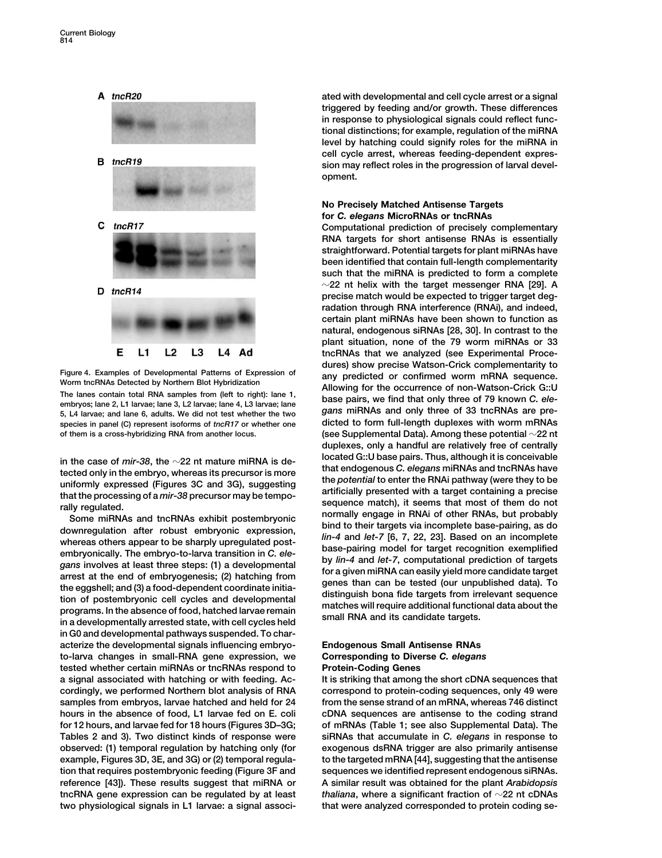

*gans* **miRNAs and only three of 33 tncRNAs are pre- 5, L4 larvae; and lane 6, adults. We did not test whether the two species in panel (C) represent isoforms of** *tncR17* **or whether one dicted to form full-length duplexes with worm mRNAs**

**in G0 and developmental pathways suspended. To characterize the developmental signals influencing embryo- Endogenous Small Antisense RNAs to-larva changes in small-RNA gene expression, we Corresponding to Diverse** *C. elegans* **tested whether certain miRNAs or tncRNAs respond to Protein-Coding Genes a signal associated with hatching or with feeding. Ac- It is striking that among the short cDNA sequences that cordingly, we performed Northern blot analysis of RNA correspond to protein-coding sequences, only 49 were samples from embryos, larvae hatched and held for 24 from the sense strand of an mRNA, whereas 746 distinct hours in the absence of food, L1 larvae fed on E. coli cDNA sequences are antisense to the coding strand for 12 hours, and larvae fed for 18 hours (Figures 3D–3G; of mRNAs (Table 1; see also Supplemental Data). The Tables 2 and 3). Two distinct kinds of response were siRNAs that accumulate in** *C. elegans* **in response to observed: (1) temporal regulation by hatching only (for exogenous dsRNA trigger are also primarily antisense example, Figures 3D, 3E, and 3G) or (2) temporal regula- to the targeted mRNA [44], suggesting that the antisense tion that requires postembryonic feeding (Figure 3F and sequences we identified represent endogenous siRNAs. reference [43]). These results suggest that miRNA or A similar result was obtained for the plant** *Arabidopsis* **tncRNA gene expression can be regulated by at least** *thaliana***, where a significant fraction of 22 nt cDNAs two physiological signals in L1 larvae: a signal associ- that were analyzed corresponded to protein coding se-**

**ated with developmental and cell cycle arrest or a signal triggered by feeding and/or growth. These differences in response to physiological signals could reflect functional distinctions; for example, regulation of the miRNA level by hatching could signify roles for the miRNA in cell cycle arrest, whereas feeding-dependent expression may reflect roles in the progression of larval development.**

# **No Precisely Matched Antisense Targets for** *C. elegans* **MicroRNAs or tncRNAs**

**Computational prediction of precisely complementary RNA targets for short antisense RNAs is essentially straightforward. Potential targets for plant miRNAs have been identified that contain full-length complementarity such that the miRNA is predicted to form a complete 22 nt helix with the target messenger RNA [29]. A precise match would be expected to trigger target degradation through RNA interference (RNAi), and indeed, certain plant miRNAs have been shown to function as natural, endogenous siRNAs [28, 30]. In contrast to the plant situation, none of the 79 worm miRNAs or 33 tncRNAs that we analyzed (see Experimental Proce-**Figure 4. Examples of Developmental Patterns of Expression of<br>Worm tncRNAs Detected by Northern Blot Hybridization<br>The lanes contain total RNA samples from (left to right): lane 1,<br>embryos; lane 2, L1 larvae; lane 3, L2 la **of them is a cross-hybridizing RNA from another locus. (see Supplemental Data). Among these potential 22 nt duplexes, only a handful are relatively free of centrally** in the case of *mir-38*, the  $\sim$ 22 nt mature miRNA is de-<br>tected only in the embryo, whereas its precursor is more<br>that endogenous *C*. elegans miRNAs and the RNAs have<br>that the processing of a *mir-38* precursor may be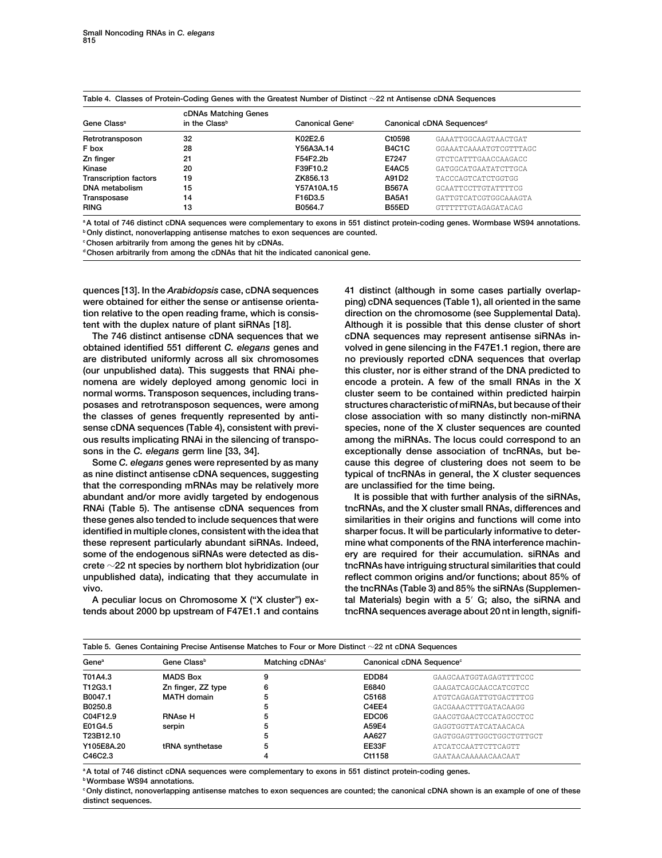| Gene Class <sup>a</sup>      | cDNAs Matching Genes<br>in the Class <sup>b</sup> | Canonical Gene <sup>c</sup> |              | Canonical cDNA Sequences <sup>d</sup> |
|------------------------------|---------------------------------------------------|-----------------------------|--------------|---------------------------------------|
| Retrotransposon              | 32                                                | K02E2.6                     | Ct0598       | GAAATTGGCAAGTAACTGAT                  |
| F box                        | 28                                                | Y56A3A.14                   | <b>B4C1C</b> | GGAAATCAAAATGTCGTTTAGC                |
| Zn finger                    | 21                                                | F54F2.2b                    | E7247        | GTCTCATTTGAACCAAGACC                  |
| Kinase                       | 20                                                | F39F10.2                    | E4AC5        | GATGGCATGAATATCTTGCA                  |
| <b>Transcription factors</b> | 19                                                | ZK856.13                    | A91D2        | TACCCAGTCATCTGGTGG                    |
| DNA metabolism               | 15                                                | Y57A10A.15                  | <b>B567A</b> | GCAATTCCTTGTATTTTCG                   |
| Transposase                  | 14                                                | F16D3.5                     | <b>BA5A1</b> | GATTGTCATCGTGGCAAAGTA                 |
| <b>RING</b>                  | 13                                                | B0564.7                     | B55ED        | GTTTTTGTAGAGATACAG                    |

|  |  |  |  |  | Table 4. Classes of Protein-Coding Genes with the Greatest Number of Distinct ~22 nt Antisense cDNA Sequences |  |
|--|--|--|--|--|---------------------------------------------------------------------------------------------------------------|--|
|--|--|--|--|--|---------------------------------------------------------------------------------------------------------------|--|

**aA total of 746 distinct cDNA sequences were complementary to exons in 551 distinct protein-coding genes. Wormbase WS94 annotations. b** Only distinct, nonoverlapping antisense matches to exon sequences are counted.

**<sup>c</sup> Chosen arbitrarily from among the genes hit by cDNAs.**

**<sup>d</sup> Chosen arbitrarily from among the cDNAs that hit the indicated canonical gene.**

**were obtained for either the sense or antisense orienta- ping) cDNA sequences (Table 1), all oriented in the same tion relative to the open reading frame, which is consis- direction on the chromosome (see Supplemental Data). tent with the duplex nature of plant siRNAs [18]. Although it is possible that this dense cluster of short**

**the classes of genes frequently represented by anti- close association with so many distinctly non-miRNA** sense cDNA sequences (Table 4), consistent with previ-<br>species, none of the X cluster sequences are counted **sons in the** *C. elegans* **germ line [33, 34]. exceptionally dense association of tncRNAs, but be-**

**that the corresponding mRNAs may be relatively more are unclassified for the time being. abundant and/or more avidly targeted by endogenous It is possible that with further analysis of the siRNAs, RNAi (Table 5). The antisense cDNA sequences from tncRNAs, and the X cluster small RNAs, differences and these genes also tended to include sequences that were similarities in their origins and functions will come into identified in multiple clones, consistent with the idea that sharper focus. It will be particularly informative to deterthese represent particularly abundant siRNAs. Indeed, mine what components of the RNA interference machinsome of the endogenous siRNAs were detected as dis- ery are required for their accumulation. siRNAs and crete 22 nt species by northern blot hybridization (our tncRNAs have intriguing structural similarities that could unpublished data), indicating that they accumulate in reflect common origins and/or functions; about 85% of vivo. the tncRNAs (Table 3) and 85% the siRNAs (Supplemen-**

**tends about 2000 bp upstream of F47E1.1 and contains tncRNA sequences average about 20 nt in length, signifi-**

**quences [13]. In the** *Arabidopsis* **case, cDNA sequences 41 distinct (although in some cases partially overlap-The 746 distinct antisense cDNA sequences that we cDNA sequences may represent antisense siRNAs inobtained identified 551 different** *C. elegans* **genes and volved in gene silencing in the F47E1.1 region, there are are distributed uniformly across all six chromosomes no previously reported cDNA sequences that overlap (our unpublished data). This suggests that RNAi phe- this cluster, nor is either strand of the DNA predicted to nomena are widely deployed among genomic loci in encode a protein. A few of the small RNAs in the X normal worms. Transposon sequences, including trans- cluster seem to be contained within predicted hairpin posases and retrotransposon sequences, were among structures characteristic of miRNAs, but because of their ous results implicating RNAi in the silencing of transpo- among the miRNAs. The locus could correspond to an Some** *C. elegans* **genes were represented by as many cause this degree of clustering does not seem to be as nine distinct antisense cDNA sequences, suggesting typical of tncRNAs in general, the X cluster sequences**

**A peculiar locus on Chromosome X ("X cluster") ex- tal Materials) begin with a 5 G; also, the siRNA and**

| Table 5. Genes Containing Precise Antisense Matches to Four or More Distinct ~22 nt cDNA Sequences |                         |                             |                                      |                          |  |  |
|----------------------------------------------------------------------------------------------------|-------------------------|-----------------------------|--------------------------------------|--------------------------|--|--|
| Gene <sup>a</sup>                                                                                  | Gene Class <sup>b</sup> | Matching cDNAs <sup>c</sup> | Canonical cDNA Sequence <sup>c</sup> |                          |  |  |
| T01A4.3                                                                                            | <b>MADS Box</b>         | 9                           | EDD84                                | GAAGCAATGGTAGAGTTTTCCC   |  |  |
| T12G3.1                                                                                            | Zn finger, ZZ type      | 6                           | E6840                                | GAAGATCAGCAACCATCGTCC    |  |  |
| B0047.1                                                                                            | <b>MATH</b> domain      | 5                           | C5168                                | ATGTCAGAGATTGTGACTTTCG   |  |  |
| B0250.8                                                                                            |                         | 5                           | C4EE4                                | GACGAAACTTTGATACAAGG     |  |  |
| C04F12.9                                                                                           | <b>RNAse H</b>          | 5                           | EDC06                                | GAACGTGAACTCCATAGCCTCC   |  |  |
| E01G4.5                                                                                            | serpin                  | 5                           | A59E4                                | GAGGTGGTTATCATAACACA     |  |  |
| T23B12.10                                                                                          |                         | 5                           | AA627                                | GAGTGGAGTTGGCTGGCTGTTGCT |  |  |
| Y105E8A.20                                                                                         | tRNA synthetase         | 5                           | EE33F                                | ATCATCCAATTCTTCAGTT      |  |  |
| C46C2.3                                                                                            |                         | 4                           | Ct1158                               | GAATAACAAAAACAACAAT      |  |  |

**aA total of 746 distinct cDNA sequences were complementary to exons in 551 distinct protein-coding genes.**

**bWormbase WS94 annotations.**

**cOnly distinct, nonoverlapping antisense matches to exon sequences are counted; the canonical cDNA shown is an example of one of these distinct sequences.**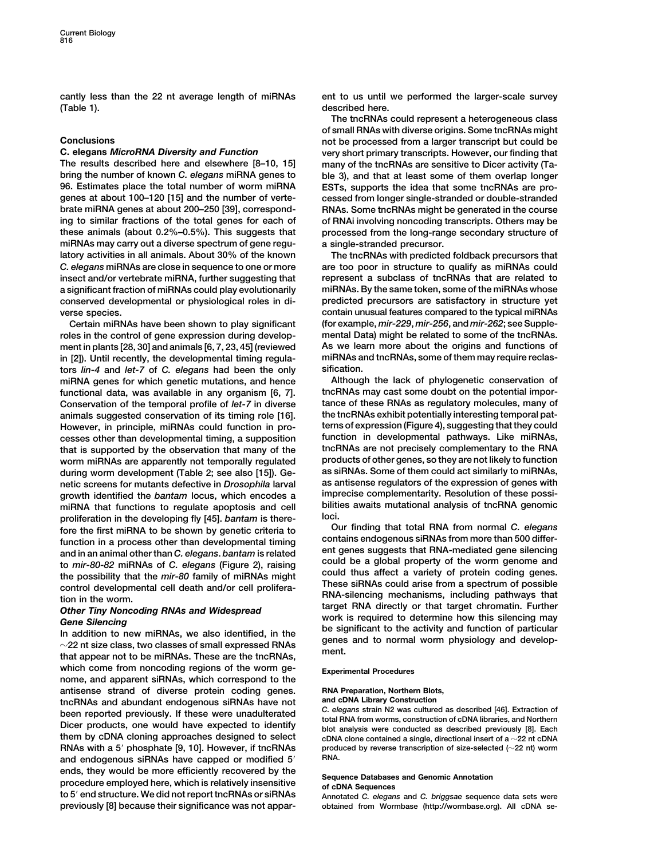**cantly less than the 22 nt average length of miRNAs ent to us until we performed the larger-scale survey (Table 1). described here.**

**The results described here and elsewhere [8–10, 15] many of the tncRNAs are sensitive to Dicer activity (Tabring the number of known** *C. elegans* **miRNA genes to ble 3), and that at least some of them overlap longer 96. Estimates place the total number of worm miRNA ESTs, supports the idea that some tncRNAs are progenes at about 100–120 [15] and the number of verte- cessed from longer single-stranded or double-stranded brate miRNA genes at about 200–250 [39], correspond- RNAs. Some tncRNAs might be generated in the course ing to similar fractions of the total genes for each of of RNAi involving noncoding transcripts. Others may be these animals (about 0.2%–0.5%). This suggests that processed from the long-range secondary structure of miRNAs may carry out a diverse spectrum of gene regu- a single-stranded precursor. latory activities in all animals. About 30% of the known The tncRNAs with predicted foldback precursors that** *C. elegans* **miRNAs are close in sequence to one or more are too poor in structure to qualify as miRNAs could insect and/or vertebrate miRNA, further suggesting that represent a subclass of tncRNAs that are related to a significant fraction of miRNAs could play evolutionarily miRNAs. By the same token, some of the miRNAs whose conserved developmental or physiological roles in di- predicted precursors are satisfactory in structure yet**

**roles in the control of gene expression during develop- mental Data) might be related to some of the tncRNAs. ment in plants [28, 30] and animals [6, 7, 23, 45] (reviewed As we learn more about the origins and functions of in [2]). Until recently, the developmental timing regula- miRNAs and tncRNAs, some of them may require reclastors** *lin-4* **and** *let-7* **of** *C. elegans* **had been the only sification. miRNA genes for which genetic mutations, and hence Although the lack of phylogenetic conservation of functional data, was available in any organism [6, 7]. tncRNAs may cast some doubt on the potential impor-Conservation of the temporal profile of** *let-7* **in diverse tance of these RNAs as regulatory molecules, many of animals suggested conservation of its timing role [16]. the tncRNAs exhibit potentially interesting temporal pat-However, in principle, miRNAs could function in pro- terns of expression (Figure 4), suggesting that they could cesses other than developmental timing, a supposition function in developmental pathways. Like miRNAs, that is supported by the observation that many of the tncRNAs are not precisely complementary to the RNA worm miRNAs are apparently not temporally regulated products of other genes, so they are not likely to function** during worm development (Table 2; see also [15]). Ge**netic screens for mutants defective in** *Drosophila* **larval as antisense regulators of the expression of genes with** growth identified the *bantam* locus, which encodes a imprecise complementarity. Resolution of these possi-<br>miRNA that functions to requiate apoptosis and cell bilities awaits mutational analysis of thcRNA genomic miRNA that functions to regulate apoptosis and cell **bilities are allegated** in the developing fly [45] bentam is there **built** proliferation in the developing fly [45]. *bantam* is there-<br>fore the first miRNA to be shown by genetic criteria to **Our finding that total RNA from normal C.** elegans fore the first miRNA to be shown by genetic criteria to<br>function in a process other than developmental timing<br>and in an animal other than C. elegans. bantam is related<br>to mir-80-82 miRNAs of C. elegans. (Figure 2) raising<br>

which come from noncoding regions of the worm ge-<br>**Experimental Procedures nome, and apparent siRNAs, which correspond to the antisense strand of diverse protein coding genes. RNA Preparation, Northern Blots,** tncRNAs and abundant endogenous siRNAs have not<br>been reported previously. If these were unadulterated<br>Dicer products, one would have expected to identify<br>blot analysis were conducted as described previously [8]. Each **them by cDNA cloning approaches designed to select cDNA clone contained a single, directional insert of a 22 nt cDNA RNAs with a 5<sup>'</sup> phosphate [9, 10]. However, if tncRNAs** produced by reverse transcription of size-selected ( $\sim$ 22 nt) worm and ondoronous siPNAs have cannod or modified  $5'$  RNA. and endogenous siRNAs have capped or modified 5' **ends, they would be more efficiently recovered by the**<br>**procedure employed here, which is relatively insensitive** of cDNA Sequences<br>**to 5'** end structure. We did not report tncRNAs or siRNAs<br>**Annotated C. elegans and C. b previously [8] because their significance was not appar- obtained from Wormbase (http://wormbase.org). All cDNA se-**

**The tncRNAs could represent a heterogeneous class of small RNAs with diverse origins. Some tncRNAs might Conclusions not be processed from a larger transcript but could be C. elegans** *MicroRNA Diversity and Function* **very short primary transcripts. However, our finding that**

**verse species. contain unusual features compared to the typical miRNAs Certain miRNAs have been shown to play significant (for example,** *mir-229***,** *mir-256***, and** *mir-262***; see Supple-**

to mir-80-82 miRNAs of C. elegans (Figure 2), raising<br>the possibility that the mir-80 family of miRNAs might<br>control developmental cell death and/or cell prolifera-<br>tion in the worm.<br>tion in the worm.<br>tion in the worm. Other Tiny Noncoding RNAs and Widespread<br>
Gene Silencing<br>
In addition to new miRNAs, we also identified, in the<br>  $\sim$ 22 nt size class, two classes of small expressed RNAs<br>
that appear not to be miRNAs. These are the tncRNA

 $Annotated$  *C. elegans* and *C. briggsae* sequence data sets were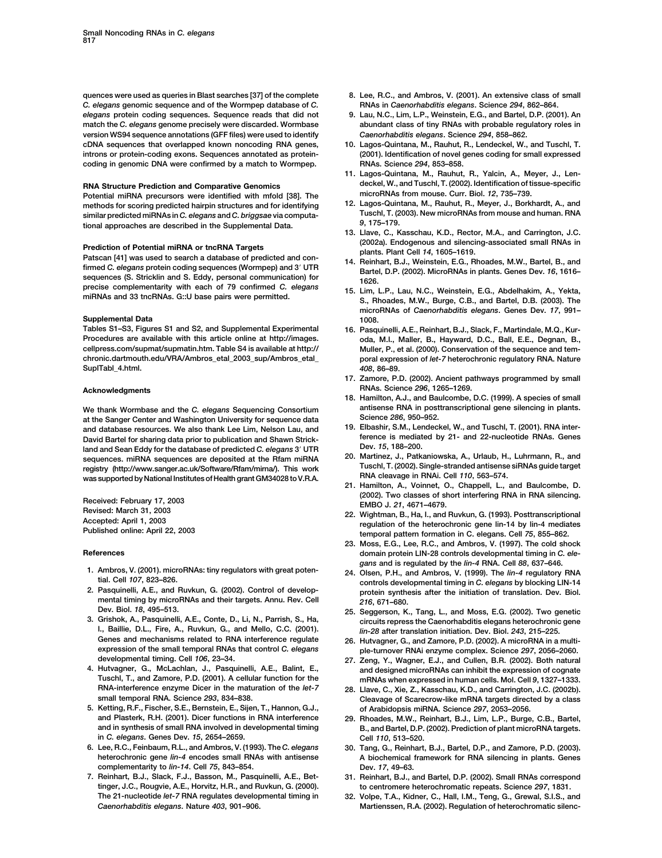**quences were used as queries in Blast searches [37] of the complete 8. Lee, R.C., and Ambros, V. (2001). An extensive class of small** *C. elegans* **genomic sequence and of the Wormpep database of** *C.* **RNAs in** *Caenorhabditis elegans***. Science** *294***, 862–864.** *elegans* **protein coding sequences. Sequence reads that did not 9. Lau, N.C., Lim, L.P., Weinstein, E.G., and Bartel, D.P. (2001). An match the** *C. elegans* **genome precisely were discarded. Wormbase abundant class of tiny RNAs with probable regulatory roles in version WS94 sequence annotations (GFF files) were used to identify** *Caenorhabditis elegans***. Science** *294***, 858–862. cDNA sequences that overlapped known noncoding RNA genes, 10. Lagos-Quintana, M., Rauhut, R., Lendeckel, W., and Tuschl, T. introns or protein-coding exons. Sequences annotated as protein- (2001). Identification of novel genes coding for small expressed coding in genomic DNA were confirmed by a match to Wormpep. RNAs. Science** *294***, 853–858.**

**Potential miRNA precursors were identified with mfold [38]. The microRNAs from mouse. Curr. Biol.** *12***, 735–739. methods for scoring predicted hairpin structures and for identifying 12. Lagos-Quintana, M., Rauhut, R., Meyer, J., Borkhardt, A., and** similar predicted miRNAs in *C. elegans* and *C. briggsae* via computa-<br> **Tuschl, T. (2003). The micropyier and human mouse and human.** 2003. The mouse are described in the Supplemental Data *9***, 175–179. tional approaches are described in the Supplemental Data.**

Prediction of Potential miRNA or tncRNA Targets (2002a). Endogenous and silencing-associated small RNAs in<br>Patscan [41] was used to search a database of predicted and con-<br>firmed C. elegans protein coding sequences (Wormpe precise complementarity with each of 79 confirmed C. elegans<br>miRNAs and 33 tncRNAs. G::U base pairs were permitted. [15] s. Lim, L.P., Lau, N.C., Weinstein, E.G., Abdelhakim, A., Yekta,

**Supplemental Data 1008. Procedures are available with this article online at http://images. oda, M.I., Maller, B., Hayward, D.C., Ball, E.E., Degnan, B.,** cellpress.com/supmat/supmatin.htm. Table S4 is available at http:// Muller, P., et al. (2000). Conservation of the sequence and tem-<br>
chronic.dartmouth.edu/VRA/Ambros\_etal\_2003\_sup/Ambros\_etal\_ poral expression of *let-7* **SuplTabl\_4.html.** *408***, 86–89.**

**Science** *286***, 950–952. at the Sanger Center and Washington University for sequence data 19. Elbashir, S.M., Lendeckel, W., and Tuschl, T. (2001). RNA inter- and database resources. We also thank Lee Lim, Nelson Lau, and** David Bartel for sharing data prior to publication and Shawn Strick-**Figure 18** ference is mediated by 200.<br>Line and Sean Eddy for the database of prodicted C. clogare 3' UTP **Dev. 75, 188–200**. **Dev.** *15***, 188–200. land and Sean Eddy for the database of predicted** *C. elegans* **3 UTR** sequences. miRNA sequences are deposited at the Rfam miRNA 20. Martinez, J., Patkaniowska, A., Uriaub, H., Lunmann, H., and<br>registry (http://www.sanger.ac.uk/Software/Rfam/mima/). This work Tuschl, T. (2002). Single-strand

- **1. Ambros, V. (2001). microRNAs: tiny regulators with great poten- 24. Olsen, P.H., and Ambros, V. (1999). The** *lin-4* **regulatory RNA**
- **mental timing by microRNAs and their targets. Annu. Rev. Cell** *216***, 671–680.**
- **I., Baillie, D.L., Fire, A., Ruvkun, G., and Mello, C.C. (2001).** *lin-28* **after translation initiation. Dev. Biol.** *243***, 215–225.** Genes and mechanisms related to RNA interference regulate 26. Hutvagner, G., and Zamore, P.D. (2002). A microRNA in a multi-<br>
expression of the small temporal RNAs that control C. elegans ble-turnover RNAi enzyme complex. **expression of the small temporal RNAs that control** *C. elegans* **ple-turnover RNAi enzyme complex. Science** *297***, 2056–2060.**
- **Tuschl, T., and Zamore, P.D. (2001). A cellular function for the mRNAs when expressed in human cells. Mol. Cell** *9***, 1327–1333.**
- **5. Ketting, R.F., Fischer, S.E., Bernstein, E., Sijen, T., Hannon, G.J., of Arabidopsis miRNA. Science** *297***, 2053–2056. and Plasterk, R.H. (2001). Dicer functions in RNA interference 29. Rhoades, M.W., Reinhart, B.J., Lim, L.P., Burge, C.B., Bartel, in** *C. elegans***. Genes Dev.** *15***, 2654–2659. Cell** *110***, 513–520.**
- **complementarity to** *lin-14***. Cell** *75***, 843–854. Dev.** *17***, 49–63.**
- **7. Reinhart, B.J., Slack, F.J., Basson, M., Pasquinelli, A.E., Bet- 31. Reinhart, B.J., and Bartel, D.P. (2002). Small RNAs correspond The 21-nucleotide** *let-7* **RNA regulates developmental timing in 32. Volpe, T.A., Kidner, C., Hall, I.M., Teng, G., Grewal, S.I.S., and**
- 
- 
- 
- **11. Lagos-Quintana, M., Rauhut, R., Yalcin, A., Meyer, J., Len-RNA Structure Prediction and Comparative Genomics deckel, W., and Tuschl, T. (2002). Identification of tissue-specific**
	-
	- **13. Llave, C., Kasschau, K.D., Rector, M.A., and Carrington, J.C.**
	-
	- **microRNAs of** *Caenorhabditis elegans***. Genes Dev.** *17***, 991–**
	- 16. Pasquinelli, A.E., Reinhart, B.J., Slack, F., Martindale, M.Q., Kurporal expression of *let-7* heterochronic regulatory RNA. Nature
- **17. Zamore, P.D. (2002). Ancient pathways programmed by small Acknowledgments RNAs. Science** *296***, 1265–1269.**
- **18. Hamilton, A.J., and Baulcombe, D.C. (1999). A species of small We thank Wormbase and the** *C. elegans* **Sequencing Consortium antisense RNA in posttranscriptional gene silencing in plants.**
	-
	-
	-
- Received: February 17, 2003<br>
Revised: March 31, 2003<br>
Revised: April 1, 2003<br>
Accepted: April 1, 2003<br>
Published online: April 22, 2003<br>
Published online: April 22, 2003<br>
Published online: April 22, 2003<br>
Published online:
- **23. Moss, E.G., Lee, R.C., and Ambros, V. (1997). The cold shock References domain protein LIN-28 controls developmental timing in** *C. elegans* **and is regulated by the** *lin-4* **RNA. Cell** *88***, 637–646.**
- **tial. Cell** *107***, 823–826. controls developmental timing in** *C. elegans* **by blocking LIN-14** protein synthesis after the initiation of translation. Dev. Biol.
- **Dev. Biol.** *18***, 495–513. 25. Seggerson, K., Tang, L., and Moss, E.G. (2002). Two genetic 3. Grishok, A., Pasquinelli, A.E., Conte, D., Li, N., Parrish, S., Ha, circuits repress the Caenorhabditis elegans heterochronic gene**
	-
- **developmental timing. Cell** *106***, 23–34. 27. Zeng, Y., Wagner, E.J., and Cullen, B.R. (2002). Both natural 4. Hutvagner, G., McLachlan, J., Pasquinelli, A.E., Balint, E., and designed microRNAs can inhibit the expression of cognate**
	- **RNA-interference enzyme Dicer in the maturation of the** *let-7* **28. Llave, C., Xie, Z., Kasschau, K.D., and Carrington, J.C. (2002b). small temporal RNA. Science** *293***, 834–838. Cleavage of Scarecrow-like mRNA targets directed by a class**
	- **and in synthesis of small RNA involved in developmental timing B., and Bartel, D.P. (2002). Prediction of plant microRNA targets.**
	- **6. Lee, R.C., Feinbaum, R.L., and Ambros, V. (1993). The** *C. elegans* **30. Tang, G., Reinhart, B.J., Bartel, D.P., and Zamore, P.D. (2003). heterochronic gene** *lin-4* **encodes small RNAs with antisense A biochemical framework for RNA silencing in plants. Genes**
	- **tinger, J.C., Rougvie, A.E., Horvitz, H.R., and Ruvkun, G. (2000). to centromere heterochromatic repeats. Science** *297***, 1831.**
	- *Caenorhabditis elegans***. Nature** *403***, 901–906. Martienssen, R.A. (2002). Regulation of heterochromatic silenc-**